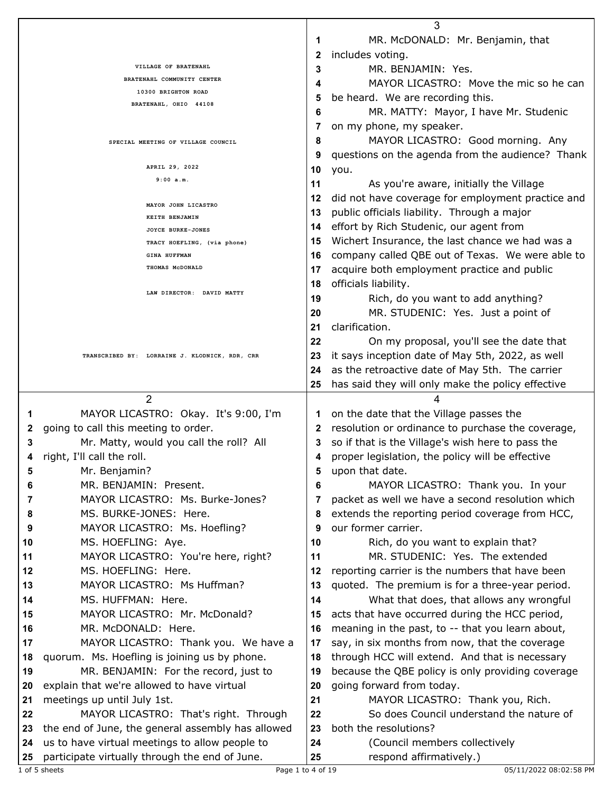|                                                      |                                                                                                  | 3        |                                                          |  |  |
|------------------------------------------------------|--------------------------------------------------------------------------------------------------|----------|----------------------------------------------------------|--|--|
|                                                      |                                                                                                  | 1        | MR. McDONALD: Mr. Benjamin, that                         |  |  |
|                                                      |                                                                                                  |          | includes voting.<br>2                                    |  |  |
|                                                      | VILLAGE OF BRATENAHL                                                                             | 3        | MR. BENJAMIN: Yes.                                       |  |  |
|                                                      | BRATENAHL COMMUNITY CENTER                                                                       | 4        | MAYOR LICASTRO: Move the mic so he can                   |  |  |
| 10300 BRIGHTON ROAD                                  |                                                                                                  | 5        | be heard. We are recording this.                         |  |  |
| BRATENAHL, OHIO 44108                                |                                                                                                  | 6        | MR. MATTY: Mayor, I have Mr. Studenic                    |  |  |
|                                                      |                                                                                                  | 7        | on my phone, my speaker.                                 |  |  |
|                                                      |                                                                                                  | 8        | MAYOR LICASTRO: Good morning. Any                        |  |  |
| SPECIAL MEETING OF VILLAGE COUNCIL<br>APRIL 29, 2022 |                                                                                                  |          |                                                          |  |  |
|                                                      |                                                                                                  | 9        | questions on the agenda from the audience? Thank         |  |  |
|                                                      |                                                                                                  | 10       | you.                                                     |  |  |
|                                                      | 9:00 a.m.                                                                                        |          | 11<br>As you're aware, initially the Village             |  |  |
|                                                      | MAYOR JOHN LICASTRO                                                                              | 12       | did not have coverage for employment practice and        |  |  |
|                                                      | KEITH BENJAMIN                                                                                   | 13       | public officials liability. Through a major              |  |  |
|                                                      | JOYCE BURKE-JONES                                                                                | 14       | effort by Rich Studenic, our agent from                  |  |  |
|                                                      | TRACY HOEFLING, (via phone)                                                                      | 15       | Wichert Insurance, the last chance we had was a          |  |  |
|                                                      | <b>GINA HUFFMAN</b>                                                                              | 16       | company called QBE out of Texas. We were able to         |  |  |
|                                                      | THOMAS MCDONALD                                                                                  | 17       | acquire both employment practice and public              |  |  |
|                                                      |                                                                                                  | 18       | officials liability.                                     |  |  |
|                                                      | LAW DIRECTOR: DAVID MATTY                                                                        | 19       | Rich, do you want to add anything?                       |  |  |
|                                                      |                                                                                                  | 20       | MR. STUDENIC: Yes. Just a point of                       |  |  |
|                                                      |                                                                                                  | 21       | clarification.                                           |  |  |
|                                                      |                                                                                                  | 22       | On my proposal, you'll see the date that                 |  |  |
|                                                      | TRANSCRIBED BY: LORRAINE J. KLODNICK, RDR, CRR                                                   | 23       | it says inception date of May 5th, 2022, as well         |  |  |
|                                                      |                                                                                                  | 24       | as the retroactive date of May 5th. The carrier          |  |  |
|                                                      |                                                                                                  |          |                                                          |  |  |
|                                                      |                                                                                                  | 25       | has said they will only make the policy effective        |  |  |
|                                                      |                                                                                                  |          |                                                          |  |  |
|                                                      | $\overline{2}$                                                                                   |          | 4                                                        |  |  |
| 1                                                    | MAYOR LICASTRO: Okay. It's 9:00, I'm                                                             | 1        | on the date that the Village passes the                  |  |  |
| 2                                                    | going to call this meeting to order.                                                             | 2        | resolution or ordinance to purchase the coverage,        |  |  |
| 3                                                    | Mr. Matty, would you call the roll? All                                                          | 3        | so if that is the Village's wish here to pass the        |  |  |
| 4                                                    | right, I'll call the roll.                                                                       | 4        | proper legislation, the policy will be effective         |  |  |
| 5                                                    | Mr. Benjamin?                                                                                    | 5        | upon that date.                                          |  |  |
| 6                                                    | MR. BENJAMIN: Present.                                                                           | 6        | MAYOR LICASTRO: Thank you. In your                       |  |  |
| 7                                                    | MAYOR LICASTRO: Ms. Burke-Jones?                                                                 |          | packet as well we have a second resolution which         |  |  |
| 8                                                    | MS. BURKE-JONES: Here.                                                                           | 8        | extends the reporting period coverage from HCC,          |  |  |
| 9                                                    | MAYOR LICASTRO: Ms. Hoefling?                                                                    | 9        | our former carrier.                                      |  |  |
| 10                                                   | MS. HOEFLING: Aye.                                                                               | 10       | Rich, do you want to explain that?                       |  |  |
| 11                                                   | MAYOR LICASTRO: You're here, right?                                                              | 11       | MR. STUDENIC: Yes. The extended                          |  |  |
| 12                                                   | MS. HOEFLING: Here.                                                                              | 12       | reporting carrier is the numbers that have been          |  |  |
| 13                                                   | MAYOR LICASTRO: Ms Huffman?                                                                      | 13       | quoted. The premium is for a three-year period.          |  |  |
| 14                                                   | MS. HUFFMAN: Here.                                                                               | 14       | What that does, that allows any wrongful                 |  |  |
| 15                                                   | MAYOR LICASTRO: Mr. McDonald?                                                                    | 15       |                                                          |  |  |
| 16                                                   | MR. McDONALD: Here.                                                                              | 16       | acts that have occurred during the HCC period,           |  |  |
|                                                      |                                                                                                  | 17       | meaning in the past, to -- that you learn about,         |  |  |
| 17                                                   | MAYOR LICASTRO: Thank you. We have a                                                             |          | say, in six months from now, that the coverage           |  |  |
| 18                                                   | quorum. Ms. Hoefling is joining us by phone.                                                     | 18       | through HCC will extend. And that is necessary           |  |  |
| 19                                                   | MR. BENJAMIN: For the record, just to                                                            | 19       | because the QBE policy is only providing coverage        |  |  |
| 20                                                   | explain that we're allowed to have virtual                                                       | 20       | going forward from today.                                |  |  |
| 21                                                   | meetings up until July 1st.                                                                      | 21       | MAYOR LICASTRO: Thank you, Rich.                         |  |  |
| 22                                                   | MAYOR LICASTRO: That's right. Through                                                            | 22       | So does Council understand the nature of                 |  |  |
| 23                                                   | the end of June, the general assembly has allowed                                                | 23       | both the resolutions?                                    |  |  |
| 24<br>25                                             | us to have virtual meetings to allow people to<br>participate virtually through the end of June. | 24<br>25 | (Council members collectively<br>respond affirmatively.) |  |  |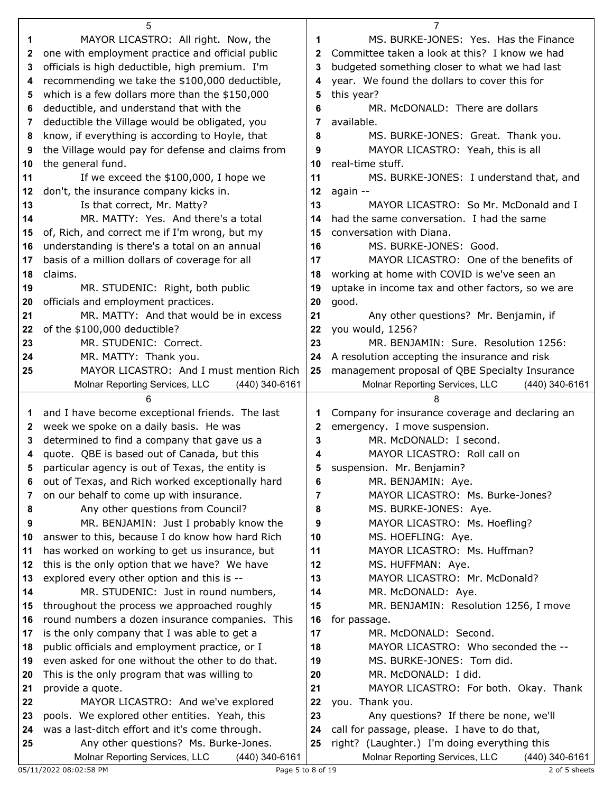|    | 5                                                                                                    |    | 7                                                        |
|----|------------------------------------------------------------------------------------------------------|----|----------------------------------------------------------|
| 1  | MAYOR LICASTRO: All right. Now, the                                                                  | 1  | MS. BURKE-JONES: Yes. Has the Finance                    |
| 2  | one with employment practice and official public                                                     | 2  | Committee taken a look at this? I know we had            |
| 3  | officials is high deductible, high premium. I'm                                                      | 3  | budgeted something closer to what we had last            |
| 4  | recommending we take the \$100,000 deductible,                                                       | 4  | year. We found the dollars to cover this for             |
| 5  | which is a few dollars more than the \$150,000                                                       | 5  | this year?                                               |
| 6  | deductible, and understand that with the                                                             | 6  | MR. McDONALD: There are dollars                          |
| 7  | deductible the Village would be obligated, you                                                       | 7  | available.                                               |
| 8  | know, if everything is according to Hoyle, that                                                      | 8  | MS. BURKE-JONES: Great. Thank you.                       |
| 9  | the Village would pay for defense and claims from                                                    | 9  | MAYOR LICASTRO: Yeah, this is all                        |
| 10 | the general fund.                                                                                    | 10 | real-time stuff.                                         |
| 11 | If we exceed the \$100,000, I hope we                                                                | 11 | MS. BURKE-JONES: I understand that, and                  |
| 12 | don't, the insurance company kicks in.                                                               | 12 | again --                                                 |
| 13 | Is that correct, Mr. Matty?                                                                          | 13 | MAYOR LICASTRO: So Mr. McDonald and I                    |
| 14 | MR. MATTY: Yes. And there's a total                                                                  | 14 | had the same conversation. I had the same                |
| 15 | of, Rich, and correct me if I'm wrong, but my                                                        | 15 | conversation with Diana.                                 |
| 16 | understanding is there's a total on an annual                                                        | 16 | MS. BURKE-JONES: Good.                                   |
| 17 | basis of a million dollars of coverage for all                                                       | 17 | MAYOR LICASTRO: One of the benefits of                   |
| 18 | claims.                                                                                              | 18 | working at home with COVID is we've seen an              |
| 19 | MR. STUDENIC: Right, both public                                                                     | 19 | uptake in income tax and other factors, so we are        |
| 20 | officials and employment practices.                                                                  | 20 | good.                                                    |
| 21 | MR. MATTY: And that would be in excess                                                               | 21 | Any other questions? Mr. Benjamin, if                    |
| 22 | of the \$100,000 deductible?                                                                         | 22 | you would, 1256?                                         |
| 23 | MR. STUDENIC: Correct.                                                                               | 23 | MR. BENJAMIN: Sure. Resolution 1256:                     |
| 24 | MR. MATTY: Thank you.                                                                                | 24 | A resolution accepting the insurance and risk            |
| 25 | MAYOR LICASTRO: And I must mention Rich                                                              | 25 | management proposal of QBE Specialty Insurance           |
|    | Molnar Reporting Services, LLC<br>(440) 340-6161                                                     |    | Molnar Reporting Services, LLC<br>$(440)$ 340-6161       |
|    |                                                                                                      |    |                                                          |
|    | 6                                                                                                    |    | 8                                                        |
| 1  |                                                                                                      | 1  |                                                          |
| 2  | and I have become exceptional friends. The last<br>week we spoke on a daily basis. He was            | 2  | Company for insurance coverage and declaring an          |
| 3  | determined to find a company that gave us a                                                          | 3  | emergency. I move suspension.<br>MR. McDONALD: I second. |
| 4  |                                                                                                      | 4  | MAYOR LICASTRO: Roll call on                             |
| 5  | quote. QBE is based out of Canada, but this                                                          |    |                                                          |
| 6  | particular agency is out of Texas, the entity is<br>out of Texas, and Rich worked exceptionally hard | 6  | suspension. Mr. Benjamin?<br>MR. BENJAMIN: Aye.          |
| 7  |                                                                                                      | 7  | MAYOR LICASTRO: Ms. Burke-Jones?                         |
| 8  | on our behalf to come up with insurance.                                                             | 8  | MS. BURKE-JONES: Aye.                                    |
| 9  | Any other questions from Council?<br>MR. BENJAMIN: Just I probably know the                          | 9  | MAYOR LICASTRO: Ms. Hoefling?                            |
| 10 | answer to this, because I do know how hard Rich                                                      | 10 | MS. HOEFLING: Aye.                                       |
| 11 | has worked on working to get us insurance, but                                                       | 11 | MAYOR LICASTRO: Ms. Huffman?                             |
| 12 | this is the only option that we have? We have                                                        | 12 | MS. HUFFMAN: Aye.                                        |
| 13 | explored every other option and this is --                                                           | 13 | MAYOR LICASTRO: Mr. McDonald?                            |
| 14 | MR. STUDENIC: Just in round numbers,                                                                 | 14 | MR. McDONALD: Aye.                                       |
| 15 | throughout the process we approached roughly                                                         | 15 | MR. BENJAMIN: Resolution 1256, I move                    |
| 16 | round numbers a dozen insurance companies. This                                                      | 16 | for passage.                                             |
| 17 | is the only company that I was able to get a                                                         | 17 | MR. McDONALD: Second.                                    |
| 18 | public officials and employment practice, or I                                                       | 18 | MAYOR LICASTRO: Who seconded the --                      |
| 19 | even asked for one without the other to do that.                                                     | 19 | MS. BURKE-JONES: Tom did.                                |
| 20 | This is the only program that was willing to                                                         | 20 | MR. McDONALD: I did.                                     |
| 21 | provide a quote.                                                                                     | 21 | MAYOR LICASTRO: For both. Okay. Thank                    |
| 22 | MAYOR LICASTRO: And we've explored                                                                   | 22 | you. Thank you.                                          |
| 23 | pools. We explored other entities. Yeah, this                                                        | 23 | Any questions? If there be none, we'll                   |
| 24 | was a last-ditch effort and it's come through.                                                       | 24 | call for passage, please. I have to do that,             |
| 25 | Any other questions? Ms. Burke-Jones.                                                                | 25 | right? (Laughter.) I'm doing everything this             |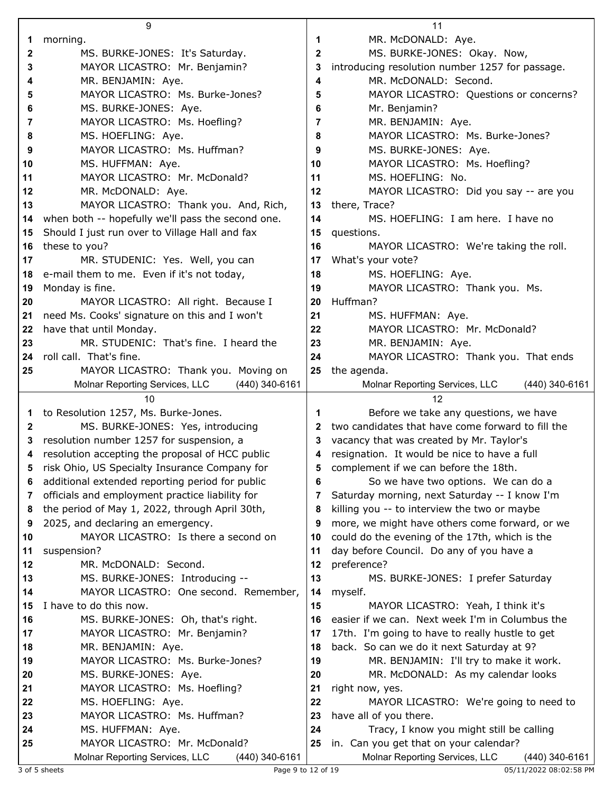|         | 9                                                                                 |    | 11                                                                       |
|---------|-----------------------------------------------------------------------------------|----|--------------------------------------------------------------------------|
| 1       | morning.                                                                          | 1  | MR. McDONALD: Aye.                                                       |
| 2       | MS. BURKE-JONES: It's Saturday.                                                   | 2  | MS. BURKE-JONES: Okay. Now,                                              |
| 3       | MAYOR LICASTRO: Mr. Benjamin?                                                     | 3  | introducing resolution number 1257 for passage.                          |
| 4       | MR. BENJAMIN: Aye.                                                                | 4  | MR. McDONALD: Second.                                                    |
| 5       | MAYOR LICASTRO: Ms. Burke-Jones?                                                  | 5  | MAYOR LICASTRO: Questions or concerns?                                   |
| 6       | MS. BURKE-JONES: Aye.                                                             | 6  | Mr. Benjamin?                                                            |
| 7       | MAYOR LICASTRO: Ms. Hoefling?                                                     | 7  | MR. BENJAMIN: Aye.                                                       |
| 8       | MS. HOEFLING: Aye.                                                                | 8  | MAYOR LICASTRO: Ms. Burke-Jones?                                         |
| 9       | MAYOR LICASTRO: Ms. Huffman?                                                      | 9  | MS. BURKE-JONES: Aye.                                                    |
|         |                                                                                   |    |                                                                          |
| 10      | MS. HUFFMAN: Aye.                                                                 | 10 | MAYOR LICASTRO: Ms. Hoefling?<br>MS. HOEFLING: No.                       |
| 11      | MAYOR LICASTRO: Mr. McDonald?                                                     | 11 |                                                                          |
| $12 \,$ | MR. McDONALD: Aye.                                                                | 12 | MAYOR LICASTRO: Did you say -- are you                                   |
| 13      | MAYOR LICASTRO: Thank you. And, Rich,                                             | 13 | there, Trace?                                                            |
| 14      | when both -- hopefully we'll pass the second one.                                 | 14 | MS. HOEFLING: I am here. I have no                                       |
| 15      | Should I just run over to Village Hall and fax                                    | 15 | questions.                                                               |
| 16      | these to you?                                                                     | 16 | MAYOR LICASTRO: We're taking the roll.                                   |
| 17      | MR. STUDENIC: Yes. Well, you can                                                  | 17 | What's your vote?                                                        |
| 18      | e-mail them to me. Even if it's not today,                                        | 18 | MS. HOEFLING: Aye.                                                       |
| 19      | Monday is fine.                                                                   | 19 | MAYOR LICASTRO: Thank you. Ms.                                           |
| 20      | MAYOR LICASTRO: All right. Because I                                              | 20 | Huffman?                                                                 |
| 21      | need Ms. Cooks' signature on this and I won't                                     | 21 | MS. HUFFMAN: Aye.                                                        |
| 22      | have that until Monday.                                                           | 22 | MAYOR LICASTRO: Mr. McDonald?                                            |
| 23      | MR. STUDENIC: That's fine. I heard the                                            | 23 | MR. BENJAMIN: Aye.                                                       |
| 24      | roll call. That's fine.                                                           | 24 | MAYOR LICASTRO: Thank you. That ends                                     |
| 25      | MAYOR LICASTRO: Thank you. Moving on                                              | 25 | the agenda.                                                              |
|         | (440) 340-6161<br>Molnar Reporting Services, LLC                                  |    | Molnar Reporting Services, LLC<br>(440) 340-6161                         |
|         |                                                                                   |    |                                                                          |
|         | 10                                                                                |    | 12                                                                       |
| 1       | to Resolution 1257, Ms. Burke-Jones.                                              | 1  | Before we take any questions, we have                                    |
| 2       | MS. BURKE-JONES: Yes, introducing                                                 | 2  | two candidates that have come forward to fill the                        |
| 3       | resolution number 1257 for suspension, a                                          | 3  | vacancy that was created by Mr. Taylor's                                 |
| 4       | resolution accepting the proposal of HCC public                                   | 4  | resignation. It would be nice to have a full                             |
|         | risk Ohio, US Specialty Insurance Company for                                     |    | complement if we can before the 18th.                                    |
| 6       | additional extended reporting period for public                                   | 6  | So we have two options. We can do a                                      |
| 7       | officials and employment practice liability for                                   | 7  | Saturday morning, next Saturday -- I know I'm                            |
| 8       | the period of May 1, 2022, through April 30th,                                    | 8  | killing you -- to interview the two or maybe                             |
| 9       | 2025, and declaring an emergency.                                                 | 9  | more, we might have others come forward, or we                           |
| 10      | MAYOR LICASTRO: Is there a second on                                              | 10 | could do the evening of the 17th, which is the                           |
| 11      | suspension?                                                                       | 11 | day before Council. Do any of you have a                                 |
| 12      | MR. McDONALD: Second.                                                             | 12 | preference?                                                              |
| 13      | MS. BURKE-JONES: Introducing --                                                   | 13 | MS. BURKE-JONES: I prefer Saturday                                       |
| 14      | MAYOR LICASTRO: One second. Remember,                                             | 14 | myself.                                                                  |
| 15      | I have to do this now.                                                            | 15 | MAYOR LICASTRO: Yeah, I think it's                                       |
| 16      | MS. BURKE-JONES: Oh, that's right.                                                | 16 | easier if we can. Next week I'm in Columbus the                          |
| 17      | MAYOR LICASTRO: Mr. Benjamin?                                                     | 17 | 17th. I'm going to have to really hustle to get                          |
| 18      | MR. BENJAMIN: Aye.                                                                | 18 | back. So can we do it next Saturday at 9?                                |
| 19      | MAYOR LICASTRO: Ms. Burke-Jones?                                                  | 19 | MR. BENJAMIN: I'll try to make it work.                                  |
| 20      | MS. BURKE-JONES: Aye.                                                             | 20 | MR. McDONALD: As my calendar looks                                       |
| 21      | MAYOR LICASTRO: Ms. Hoefling?                                                     | 21 | right now, yes.                                                          |
| 22      | MS. HOEFLING: Aye.                                                                | 22 | MAYOR LICASTRO: We're going to need to                                   |
| 23      | MAYOR LICASTRO: Ms. Huffman?                                                      | 23 | have all of you there.                                                   |
| 24      | MS. HUFFMAN: Aye.                                                                 | 24 | Tracy, I know you might still be calling                                 |
| 25      | MAYOR LICASTRO: Mr. McDonald?<br>Molnar Reporting Services, LLC<br>(440) 340-6161 | 25 | in. Can you get that on your calendar?<br>Molnar Reporting Services, LLC |

3 of 5 sheets Page 9 to 12 of 19 05/11/2022 08:02:58 PM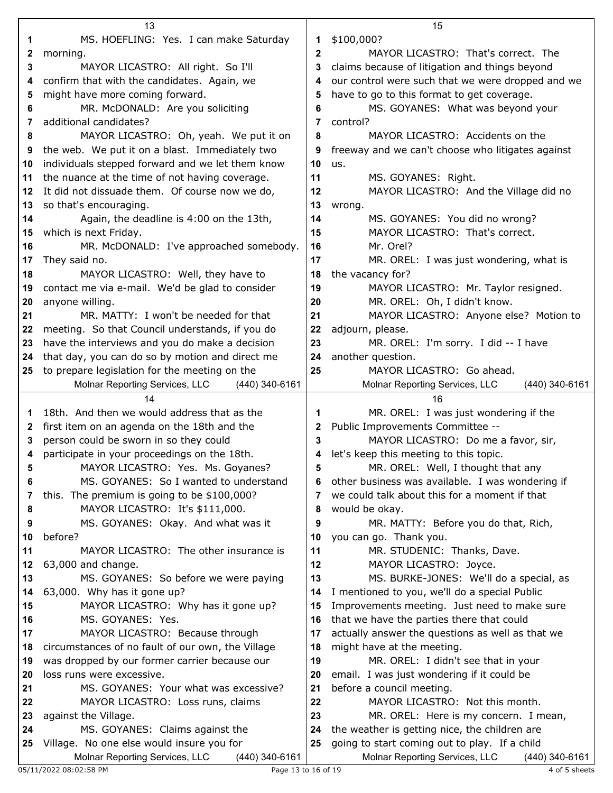|    | 13                                                                                       |              | 15                                                |
|----|------------------------------------------------------------------------------------------|--------------|---------------------------------------------------|
| 1  | MS. HOEFLING: Yes. I can make Saturday                                                   | 1            | \$100,000?                                        |
| 2  | morning.                                                                                 | $\mathbf{2}$ | MAYOR LICASTRO: That's correct. The               |
| 3  | MAYOR LICASTRO: All right. So I'll                                                       | 3            | claims because of litigation and things beyond    |
| 4  | confirm that with the candidates. Again, we                                              | 4            | our control were such that we were dropped and we |
| 5  | might have more coming forward.                                                          | 5            | have to go to this format to get coverage.        |
| 6  | MR. McDONALD: Are you soliciting                                                         | 6            | MS. GOYANES: What was beyond your                 |
|    | additional candidates?                                                                   | 7            |                                                   |
| 7  |                                                                                          |              | control?                                          |
| 8  | MAYOR LICASTRO: Oh, yeah. We put it on<br>the web. We put it on a blast. Immediately two | 8            | MAYOR LICASTRO: Accidents on the                  |
| 9  |                                                                                          | 9            | freeway and we can't choose who litigates against |
| 10 | individuals stepped forward and we let them know                                         | 10           | us.                                               |
| 11 | the nuance at the time of not having coverage.                                           | 11           | MS. GOYANES: Right.                               |
| 12 | It did not dissuade them. Of course now we do,                                           | 12           | MAYOR LICASTRO: And the Village did no            |
| 13 | so that's encouraging.                                                                   | 13           | wrong.                                            |
| 14 | Again, the deadline is 4:00 on the 13th,                                                 | 14           | MS. GOYANES: You did no wrong?                    |
| 15 | which is next Friday.                                                                    | 15           | MAYOR LICASTRO: That's correct.                   |
| 16 | MR. McDONALD: I've approached somebody.                                                  | 16           | Mr. Orel?                                         |
| 17 | They said no.                                                                            | 17           | MR. OREL: I was just wondering, what is           |
| 18 | MAYOR LICASTRO: Well, they have to                                                       | 18           | the vacancy for?                                  |
| 19 | contact me via e-mail. We'd be glad to consider                                          | 19           | MAYOR LICASTRO: Mr. Taylor resigned.              |
| 20 | anyone willing.                                                                          | 20           | MR. OREL: Oh, I didn't know.                      |
| 21 | MR. MATTY: I won't be needed for that                                                    | 21           | MAYOR LICASTRO: Anyone else? Motion to            |
| 22 | meeting. So that Council understands, if you do                                          | 22           | adjourn, please.                                  |
| 23 | have the interviews and you do make a decision                                           | 23           | MR. OREL: I'm sorry. I did -- I have              |
| 24 | that day, you can do so by motion and direct me                                          | 24           | another question.                                 |
| 25 | to prepare legislation for the meeting on the                                            | 25           | MAYOR LICASTRO: Go ahead.                         |
|    | Molnar Reporting Services, LLC<br>(440) 340-6161                                         |              | Molnar Reporting Services, LLC<br>(440) 340-6161  |
|    | 14                                                                                       |              | 16                                                |
| 1  | 18th. And then we would address that as the                                              | 1            | MR. OREL: I was just wondering if the             |
| 2  | first item on an agenda on the 18th and the                                              | 2            | Public Improvements Committee --                  |
| 3  | person could be sworn in so they could                                                   | 3            | MAYOR LICASTRO: Do me a favor, sir,               |
| 4  | participate in your proceedings on the 18th.                                             | 4            | let's keep this meeting to this topic.            |
| 5  | MAYOR LICASTRO: Yes. Ms. Goyanes?                                                        | 5            | MR. OREL: Well, I thought that any                |
| 6  | MS. GOYANES: So I wanted to understand                                                   | 6            | other business was available. I was wondering if  |
| 7  | this. The premium is going to be \$100,000?                                              | 7            | we could talk about this for a moment if that     |
| 8  | MAYOR LICASTRO: It's \$111,000.                                                          | 8            | would be okay.                                    |
| 9  | MS. GOYANES: Okay. And what was it                                                       | 9            | MR. MATTY: Before you do that, Rich,              |
| 10 | before?                                                                                  | 10           | you can go. Thank you.                            |
| 11 | MAYOR LICASTRO: The other insurance is                                                   | 11           | MR. STUDENIC: Thanks, Dave.                       |
| 12 | 63,000 and change.                                                                       | 12           | MAYOR LICASTRO: Joyce.                            |
| 13 | MS. GOYANES: So before we were paying                                                    | 13           | MS. BURKE-JONES: We'll do a special, as           |
| 14 | 63,000. Why has it gone up?                                                              | 14           | I mentioned to you, we'll do a special Public     |
| 15 | MAYOR LICASTRO: Why has it gone up?                                                      | 15           | Improvements meeting. Just need to make sure      |
| 16 | MS. GOYANES: Yes.                                                                        | 16           | that we have the parties there that could         |
| 17 | MAYOR LICASTRO: Because through                                                          | 17           | actually answer the questions as well as that we  |
| 18 | circumstances of no fault of our own, the Village                                        | 18           | might have at the meeting.                        |
| 19 | was dropped by our former carrier because our                                            | 19           | MR. OREL: I didn't see that in your               |
| 20 | loss runs were excessive.                                                                | 20           | email. I was just wondering if it could be        |
| 21 | MS. GOYANES: Your what was excessive?                                                    | 21           | before a council meeting.                         |
| 22 | MAYOR LICASTRO: Loss runs, claims                                                        | 22           | MAYOR LICASTRO: Not this month.                   |
| 23 | against the Village.                                                                     | 23           | MR. OREL: Here is my concern. I mean,             |
| 24 | MS. GOYANES: Claims against the                                                          | 24           | the weather is getting nice, the children are     |
| 25 | Village. No one else would insure you for                                                | 25           | going to start coming out to play. If a child     |
|    | Molnar Reporting Services, LLC<br>(440) 340-6161                                         |              | Molnar Reporting Services, LLC<br>(440) 340-6161  |